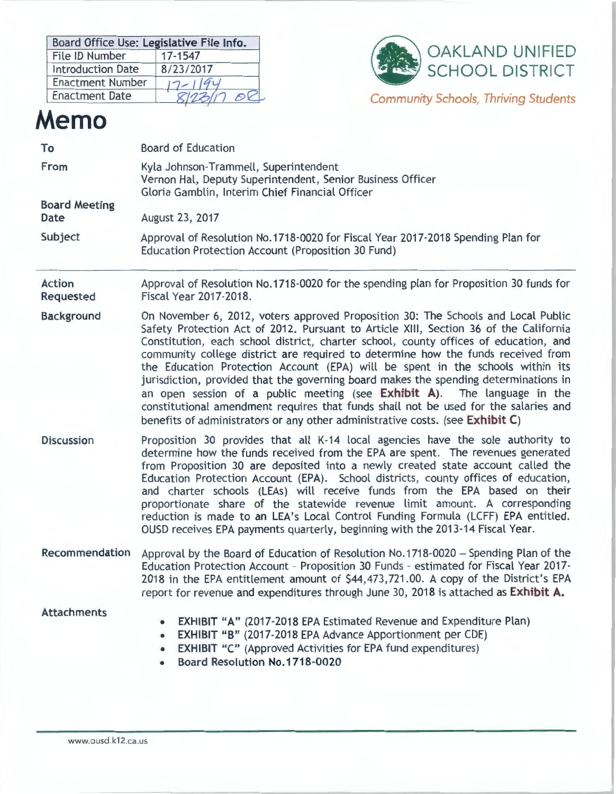| Board Office Use: Legislative File Info. |           |  |
|------------------------------------------|-----------|--|
| File ID Number                           | 17-1547   |  |
| <b>Introduction Date</b>                 | 8/23/2017 |  |
| <b>Enactment Number</b>                  |           |  |
| <b>Enactment Date</b>                    |           |  |



*Community Schools, Thriving* Students

# **Memo**

| To                           | <b>Board of Education</b>                                                                                                                                                                                                                                                                                                                                                                                                                                                                                                                                                                                                                                                                                                                                                            |  |  |
|------------------------------|--------------------------------------------------------------------------------------------------------------------------------------------------------------------------------------------------------------------------------------------------------------------------------------------------------------------------------------------------------------------------------------------------------------------------------------------------------------------------------------------------------------------------------------------------------------------------------------------------------------------------------------------------------------------------------------------------------------------------------------------------------------------------------------|--|--|
| From                         | Kyla Johnson-Trammell, Superintendent<br>Vernon Hal, Deputy Superintendent, Senior Business Officer<br>Gloria Gamblin, Interim Chief Financial Officer                                                                                                                                                                                                                                                                                                                                                                                                                                                                                                                                                                                                                               |  |  |
| <b>Board Meeting</b><br>Date | August 23, 2017                                                                                                                                                                                                                                                                                                                                                                                                                                                                                                                                                                                                                                                                                                                                                                      |  |  |
| Subject                      | Approval of Resolution No.1718-0020 for Fiscal Year 2017-2018 Spending Plan for<br>Education Protection Account (Proposition 30 Fund)                                                                                                                                                                                                                                                                                                                                                                                                                                                                                                                                                                                                                                                |  |  |
| <b>Action</b><br>Requested   | Approval of Resolution No.1718-0020 for the spending plan for Proposition 30 funds for<br>Fiscal Year 2017-2018.                                                                                                                                                                                                                                                                                                                                                                                                                                                                                                                                                                                                                                                                     |  |  |
| <b>Background</b>            | On November 6, 2012, voters approved Proposition 30: The Schools and Local Public<br>Safety Protection Act of 2012. Pursuant to Article XIII, Section 36 of the California<br>Constitution, each school district, charter school, county offices of education, and<br>community college district are required to determine how the funds received from<br>the Education Protection Account (EPA) will be spent in the schools within its<br>jurisdiction, provided that the governing board makes the spending determinations in<br>an open session of a public meeting (see Exhibit A). The language in the<br>constitutional amendment requires that funds shall not be used for the salaries and<br>benefits of administrators or any other administrative costs. (see Exhibit C) |  |  |
| <b>Discussion</b>            | Proposition 30 provides that all K-14 local agencies have the sole authority to<br>determine how the funds received from the EPA are spent. The revenues generated<br>from Proposition 30 are deposited into a newly created state account called the<br>Education Protection Account (EPA). School districts, county offices of education,<br>and charter schools (LEAs) will receive funds from the EPA based on their<br>proportionate share of the statewide revenue limit amount. A corresponding<br>reduction is made to an LEA's Local Control Funding Formula (LCFF) EPA entitled.<br>OUSD receives EPA payments quarterly, beginning with the 2013-14 Fiscal Year.                                                                                                          |  |  |
| Recommendation               | Approval by the Board of Education of Resolution No.1718-0020 - Spending Plan of the<br>Education Protection Account - Proposition 30 Funds - estimated for Fiscal Year 2017-<br>2018 in the EPA entitlement amount of \$44,473,721.00. A copy of the District's EPA<br>report for revenue and expenditures through June 30, 2018 is attached as Exhibit A.                                                                                                                                                                                                                                                                                                                                                                                                                          |  |  |
| <b>Attachments</b>           | <b>EXHIBIT "A" (2017-2018 EPA Estimated Revenue and Expenditure Plan)</b><br>EXHIBIT "B" (2017-2018 EPA Advance Apportionment per CDE)<br>۰<br><b>EXHIBIT "C"</b> (Approved Activities for EPA fund expenditures)<br>٠<br>Board Resolution No.1718-0020                                                                                                                                                                                                                                                                                                                                                                                                                                                                                                                              |  |  |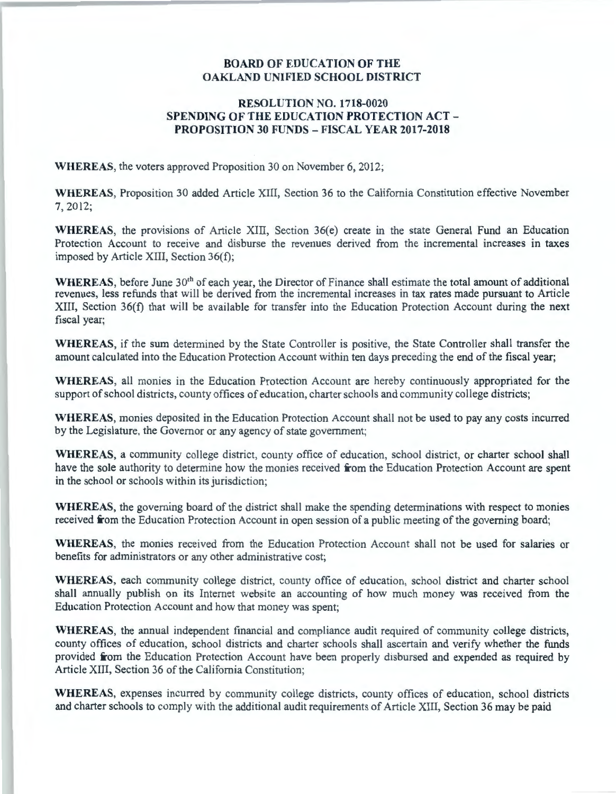## **BOARD OF EDUCATION OF THE OAKLAND UNIFIED SCHOOL DISTRICT**

## **RESOLUTION NO. 1718-0020 SPENDING OF THE EDUCATION PROTECTION ACT** - **PROPOSITION 30 FUNDS** - **FISCAL YEAR 2017-2018**

**WHEREAS,** the voters approved Proposition 30 on November 6, 2012;

**WHEREAS,** Proposition 30 added Article XIII, Section 36 to the California Constitution effective November 7, 2012;

**WHEREAS,** the provisions of Article XIII, Section 36(e) create in the state General Fund an Education Protection Account to receive and disburse the revenues derived from the incremental increases in taxes imposed by Article XIII, Section 36(f);

WHEREAS, before June 30<sup>th</sup> of each year, the Director of Finance shall estimate the total amount of additional revenues, less refunds that will be derived from the incremental increases in tax rates made pursuant to Article XIII, Section 36(f) that will be available for transfer into the Education Protection Account during the next fiscal year;

**WHEREAS,** if the sum determined by the State Controller is positive, the State Controller shall transfer the amount calculated into the Education Protection Account within ten days preceding the end of the fiscal year;

**WHEREAS,** all monies in the Education Protection Account are hereby continuously appropriated for the support of school districts, county offices of education, charter schools and community college districts;

**WHEREAS,** monies deposited in the Education Protection Account shall not be used to pay any costs incurred by the Legislature, the Governor or any agency of state government;

**WHEREAS,** a community college district, county office of education, school district, or charter school shall have the sole authority to determine how the monies received **from** the Education Protection Account are spent in the school or schools within its jurisdiction;

**WHEREAS,** the governing board of the district shall make the spending determinations with respect to monies received **from** the Education Protection Account in open session of a public meeting of the governing board;

**WHEREAS,** the monies received from the Education Protection Account shall not be used for salaries or benefits for administrators or any other administrative cost;

**WHEREAS,** each community college district, county office of education, school district and charter school shall annually publish on its Internet website an accounting of how much money was received from the Education Protection Account and how that money was spent;

**WHEREAS,** the annual independent financial and compliance audit required of community college districts, county offices of education, school districts and charter schools shall ascertain and verify whether the funds provided **from** the Education Protection Account have been properly disbursed and expended as required by Article XIII, Section 36 of the California Constitution;

**WHEREAS,** expenses incurred by community college districts, county offices of education, school districts and charter schools to comply with the additional audit requirements of Article XIII, Section 36 may be paid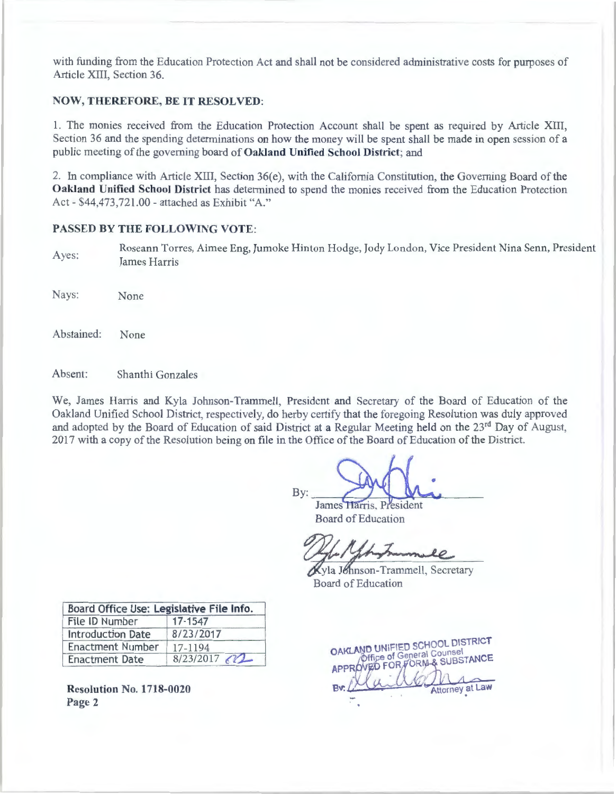with funding from the Education Protection Act and shall not be considered administrative costs for purposes of Article XIII, Section 36.

## **NOW, THEREFORE, BE IT RESOLVED:**

1. The monies received from the Education Protection Account shall be spent as required by Article XIII, Section 36 and the spending determinations on how the money will be spent shall be made in open session of a public meeting of the governing board of **Oakland Unified School District;** and

2. In compliance with Article XIII, Section  $36(e)$ , with the California Constitution, the Governing Board of the **Oakland Unified School District** has determined to spend the monies received from the Education Protection Act - \$44,473,721.00 - attached as Exhibit "A."

#### **PASSED BY THE FOLLOWING VOTE:**

Ayes: Roseann Torres, Aimee Eng, Jumoke Hinton Hodge, Jody London, Vice President Nina Senn, President James Harris

Nays: None

Abstained: None

Absent: Shanthi Gonzales

We, James Harris and Kyla Johnson-Trammell, President and Secretary of the Board of Education of the Oakland Unified School District, respectively, do herby certify that the foregoing Resolution was duly approved and adopted by the Board of Education of said District at a Regular Meeting held on the 23<sup>rd</sup> Day of August, 2017 with a copy of the Resolution being on file in the Office of the Board of Education of the District.

By:  $M^{(1)}$ 

James Harris, President Board of Education

Kyla Johnson-Trammell, Secretary Board of Education

| Board Office Use: Legislative File Info. |           |
|------------------------------------------|-----------|
| File ID Number                           | 17-1547   |
| <b>Introduction Date</b>                 | 8/23/2017 |
| <b>Enactment Number</b>                  | 17-1194   |
| <b>Enactment Date</b>                    | 8/23/2017 |

**Resolution No. 1718-0020**  Page 2

OAKLAND UNIFIED SCHOOL DISTRICT **ND UNIFIED SURVEY**<br>Office of General Counsel Office of General Counsel<br>OVED FOR FORM & SUBSTANCE Attorney at Law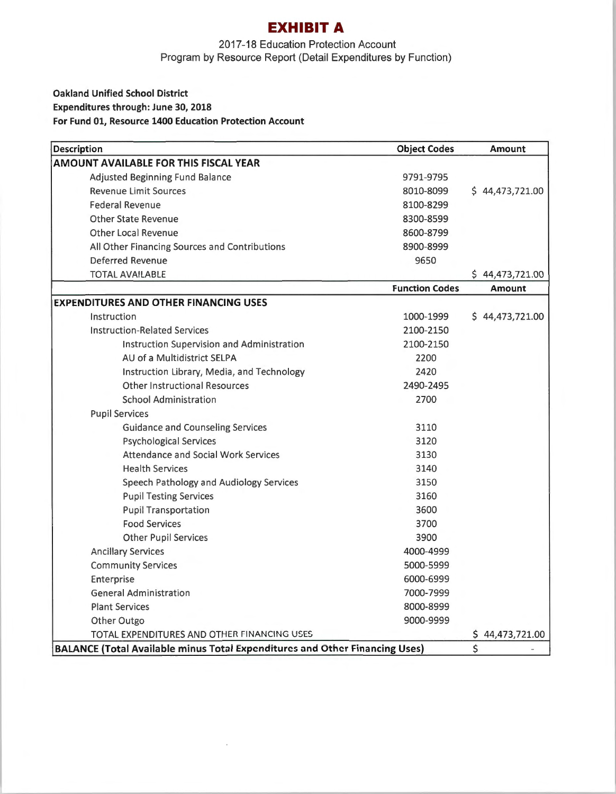## **EXHIBIT A**

2017-18 Education Protection Account Program by Resource Report (Detail Expenditures by Function)

## **Oakland Unified School District Expenditures through: June 30, 2018 For Fund 01, Resource 1400 Education Protection Account**

| Description                                                                        | <b>Object Codes</b>   | <b>Amount</b>   |
|------------------------------------------------------------------------------------|-----------------------|-----------------|
| AMOUNT AVAILABLE FOR THIS FISCAL YEAR                                              |                       |                 |
| <b>Adjusted Beginning Fund Balance</b>                                             | 9791-9795             |                 |
| <b>Revenue Limit Sources</b>                                                       | 8010-8099             | \$44,473,721.00 |
| <b>Federal Revenue</b>                                                             | 8100-8299             |                 |
| <b>Other State Revenue</b>                                                         | 8300-8599             |                 |
| <b>Other Local Revenue</b>                                                         | 8600-8799             |                 |
| All Other Financing Sources and Contributions                                      | 8900-8999             |                 |
| Deferred Revenue                                                                   | 9650                  |                 |
| <b>TOTAL AVAILABLE</b>                                                             |                       | \$44,473,721.00 |
|                                                                                    | <b>Function Codes</b> | <b>Amount</b>   |
| <b>EXPENDITURES AND OTHER FINANCING USES</b>                                       |                       |                 |
| Instruction                                                                        | 1000-1999             | \$44,473,721.00 |
| <b>Instruction-Related Services</b>                                                | 2100-2150             |                 |
| Instruction Supervision and Administration                                         | 2100-2150             |                 |
| AU of a Multidistrict SELPA                                                        | 2200                  |                 |
| Instruction Library, Media, and Technology                                         | 2420                  |                 |
| <b>Other Instructional Resources</b>                                               | 2490-2495             |                 |
| <b>School Administration</b>                                                       | 2700                  |                 |
| <b>Pupil Services</b>                                                              |                       |                 |
| <b>Guidance and Counseling Services</b>                                            | 3110                  |                 |
| <b>Psychological Services</b>                                                      | 3120                  |                 |
| <b>Attendance and Social Work Services</b>                                         | 3130                  |                 |
| <b>Health Services</b>                                                             | 3140                  |                 |
| Speech Pathology and Audiology Services                                            | 3150                  |                 |
| <b>Pupil Testing Services</b>                                                      | 3160                  |                 |
| <b>Pupil Transportation</b>                                                        | 3600                  |                 |
| <b>Food Services</b>                                                               | 3700                  |                 |
| <b>Other Pupil Services</b>                                                        | 3900                  |                 |
| <b>Ancillary Services</b>                                                          | 4000-4999             |                 |
| <b>Community Services</b>                                                          | 5000-5999             |                 |
| Enterprise                                                                         | 6000-6999             |                 |
| <b>General Administration</b>                                                      | 7000-7999             |                 |
| <b>Plant Services</b>                                                              | 8000-8999             |                 |
| Other Outgo                                                                        | 9000-9999             |                 |
| TOTAL EXPENDITURES AND OTHER FINANCING USES                                        |                       | \$44,473,721.00 |
| <b>BALANCE (Total Available minus Total Expenditures and Other Financing Uses)</b> |                       | \$              |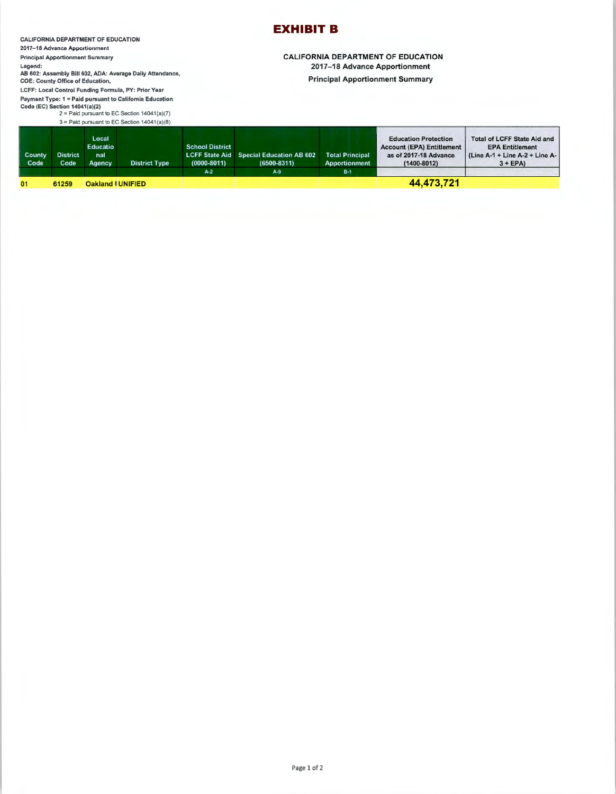#### CALIFORNIA DEPARTMENT OF EDUCATION

**201 7-18 Advance Apportionment** 

**Principal Apportionment Summary** 

**Legend:**  AB 602: Assembly Bill 602, ADA: Average Daily Attendance,

COE: County Office of Education, **LCFF: Local Control Funding Formula, PY: Prior Year** 

**Payment Type: 1 = Paid pursuant to California Education**  Code (EC) Section 14041(al(2) 2 = Paid pursuant to EC Section 14041(al(7)

3 = Paid pursuant to EC Section 14041(a)(8)

## **EXHIBIT B**

CALIFORNIA DEPARTMENT OF EDUCATION 2017-18 Advance Apportionment

Principal Apportionment Summary

| <b>County</b><br><b>District</b><br>Code | nal<br>Code<br>Agency    | <b>District Type</b> | $(0000 - 8011)$        | <b>LCFF State Aid Special Education AB 602</b><br>$(6500 - 8311)$ | <b>Total Principal</b><br>Apportionment | as of 2017-18 Advance<br>$(1400 - 8012)$                        | (Line A-1 + Line A-2 + Line A-<br>$3 + EPA$           |
|------------------------------------------|--------------------------|----------------------|------------------------|-------------------------------------------------------------------|-----------------------------------------|-----------------------------------------------------------------|-------------------------------------------------------|
|                                          | Local<br><b>Educatio</b> |                      | <b>School District</b> |                                                                   |                                         | <b>Education Protection</b><br><b>Account (EPA) Entitlement</b> | Total of LCFF State Aid and<br><b>EPA Entitlement</b> |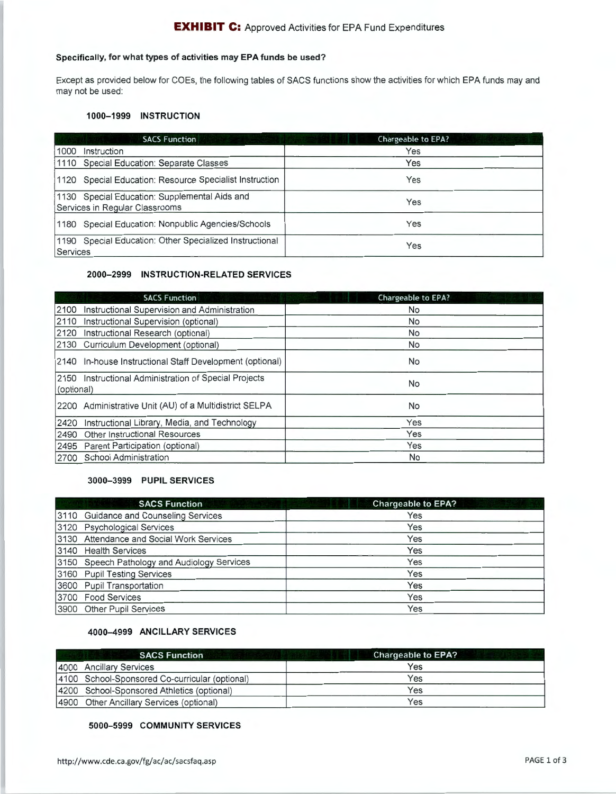#### **EXHIBIT C:** Approved Activities for EPA Fund Expenditures

## Specifically, for what types of activities may **EPA** funds be used?

Except as provided below for COEs, the following tables of SACS functions show the activities for which EPA funds may and may not be used:

#### **1000-1999 INSTRUCTION**

| <b>SACS Function</b>                                                            | <b>Chargeable to EPA?</b> |
|---------------------------------------------------------------------------------|---------------------------|
| 1000<br>Instruction                                                             | Yes                       |
| 1110 Special Education: Separate Classes                                        | Yes                       |
| 1120 Special Education: Resource Specialist Instruction                         | Yes                       |
| 1130 Special Education: Supplemental Aids and<br>Services in Regular Classrooms | Yes                       |
| 1180 Special Education: Nonpublic Agencies/Schools                              | Yes                       |
| 1190 Special Education: Other Specialized Instructional<br>Services             | Yes                       |

#### **2000-2999 INSTRUCTION-RELATED SERVICES**

|            | <b>SACS Function</b>                                     | <b>Chargeable to EPA?</b> |
|------------|----------------------------------------------------------|---------------------------|
| 2100       | Instructional Supervision and Administration             | <b>No</b>                 |
| 2110       | Instructional Supervision (optional)                     | <b>No</b>                 |
| 2120       | Instructional Research (optional)                        | No                        |
|            | 2130 Curriculum Development (optional)                   | <b>No</b>                 |
|            | 2140 In-house Instructional Staff Development (optional) | No                        |
| (optional) | 2150 Instructional Administration of Special Projects    | No                        |
|            | 2200 Administrative Unit (AU) of a Multidistrict SELPA   | No                        |
| 2420       | Instructional Library, Media, and Technology             | Yes                       |
| 2490       | <b>Other Instructional Resources</b>                     | Yes                       |
| 2495       | Parent Participation (optional)                          | Yes                       |
| 2700       | School Administration                                    | No                        |

#### **3000-3999 PUPIL SERVICES**

| <b>SACS Function</b>                         | <b>Chargeable to EPA?</b> |
|----------------------------------------------|---------------------------|
| 3110 Guidance and Counseling Services        | Yes                       |
| 3120 Psychological Services                  | Yes                       |
| 3130 Attendance and Social Work Services     | Yes                       |
| 3140 Health Services                         | Yes                       |
| 3150 Speech Pathology and Audiology Services | Yes                       |
| 3160 Pupil Testing Services                  | Yes                       |
| 3600 Pupil Transportation                    | Yes                       |
| 3700 Food Services                           | Yes                       |
| 3900 Other Pupil Services                    | Yes                       |

## **4000-4999 ANCILLARY SERVICES**

| <b>SACS Function</b>                           | <b>Chargeable to EPA?</b> |
|------------------------------------------------|---------------------------|
| 4000 Ancillary Services                        | Yes                       |
| 4100 School-Sponsored Co-curricular (optional) | Yes                       |
| 4200 School-Sponsored Athletics (optional)     | Yes                       |
| 4900 Other Ancillary Services (optional)       | Yes                       |

#### **5000-5999 COMMUNITY SERVICES**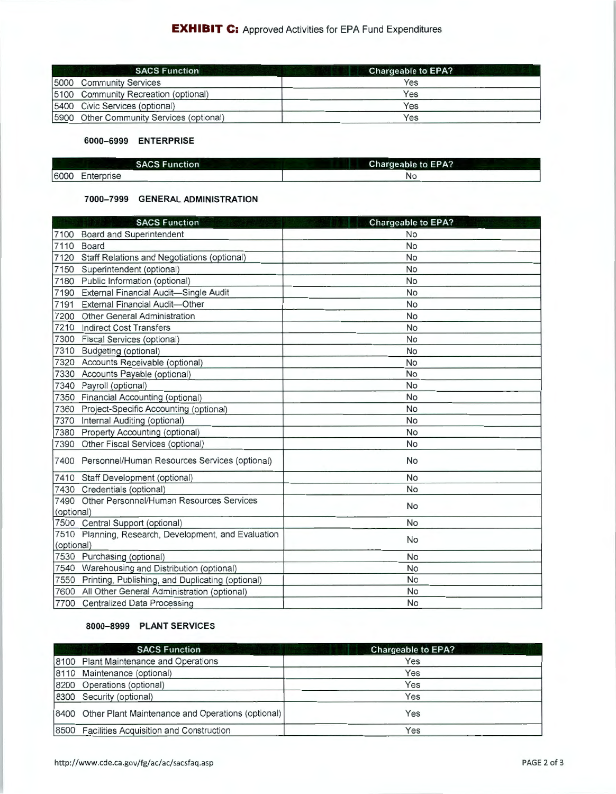| <b>SACS Function</b>                      | <b>Chargeable to EPA?</b> |
|-------------------------------------------|---------------------------|
| <b>15000 Community Services</b>           | Yes                       |
| [5100 Community Recreation (optional)     | Yes                       |
| [5400 Civic Services (optional)           | Yes                       |
| [5900 Other Community Services (optional) | Yes                       |

#### **6000-6999 ENTERPRISE**

| <b>SACS Function</b> | <b>Chargeable to EPA?</b> |
|----------------------|---------------------------|
| 6000<br>Enterprise   | <b>N</b> C                |

#### **7000-7999 GENERAL ADMINISTRATION**

|            | <b>SACS Function</b>                                  | <b>Chargeable to EPA?</b> |
|------------|-------------------------------------------------------|---------------------------|
|            | 7100 Board and Superintendent                         | No                        |
| 7110       | Board                                                 | No                        |
| 7120       | Staff Relations and Negotiations (optional)           | <b>No</b>                 |
| 7150       | Superintendent (optional)                             | <b>No</b>                 |
|            | 7180 Public Information (optional)                    | <b>No</b>                 |
| 7190       | External Financial Audit-Single Audit                 | <b>No</b>                 |
| 7191       | <b>External Financial Audit-Other</b>                 | <b>No</b>                 |
| 7200       | Other General Administration                          | <b>No</b>                 |
| 7210       | <b>Indirect Cost Transfers</b>                        | <b>No</b>                 |
| 7300       | Fiscal Services (optional)                            | No                        |
| 7310       | Budgeting (optional)                                  | No                        |
|            | 7320 Accounts Receivable (optional)                   | <b>No</b>                 |
|            | 7330 Accounts Payable (optional)                      | <b>No</b>                 |
| 7340       | Payroll (optional)                                    | No                        |
|            | 7350 Financial Accounting (optional)                  | No                        |
|            | 7360 Project-Specific Accounting (optional)           | No                        |
|            | 7370 Internal Auditing (optional)                     | <b>No</b>                 |
|            | 7380 Property Accounting (optional)                   | No                        |
|            | 7390 Other Fiscal Services (optional)                 | <b>No</b>                 |
|            | 7400 Personnel/Human Resources Services (optional)    | <b>No</b>                 |
|            | 7410 Staff Development (optional)                     | <b>No</b>                 |
|            | 7430 Credentials (optional)                           | <b>No</b>                 |
|            | 7490 Other Personnel/Human Resources Services         |                           |
| (optional) |                                                       | <b>No</b>                 |
|            | 7500 Central Support (optional)                       | <b>No</b>                 |
| (optional) | 7510 Planning, Research, Development, and Evaluation  | <b>No</b>                 |
|            | 7530 Purchasing (optional)                            | <b>No</b>                 |
|            | 7540 Warehousing and Distribution (optional)          | <b>No</b>                 |
|            | 7550 Printing, Publishing, and Duplicating (optional) | <b>No</b>                 |
|            | 7600 All Other General Administration (optional)      | <b>No</b>                 |
|            | 7700 Centralized Data Processing                      | <b>No</b>                 |
|            |                                                       |                           |

### **8000-8999 PLANT SERVICES**

| <b>SACS Function</b>                                   | <b>Chargeable to EPA?</b> |
|--------------------------------------------------------|---------------------------|
| 8100 Plant Maintenance and Operations                  | Yes                       |
| 8110 Maintenance (optional)                            | Yes                       |
| 8200 Operations (optional)                             | Yes                       |
| 8300 Security (optional)                               | Yes                       |
| 8400 Other Plant Maintenance and Operations (optional) | Yes                       |
| 8500 Facilities Acquisition and Construction           | Yes                       |